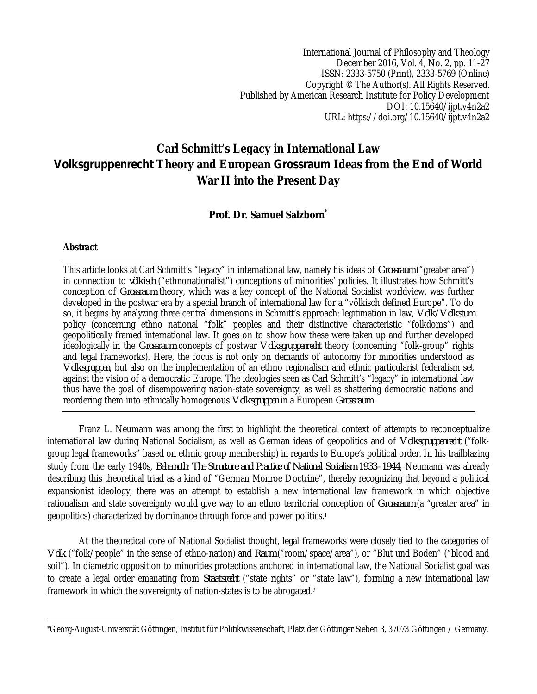International Journal of Philosophy and Theology December 2016, Vol. 4, No. 2, pp. 11-27 ISSN: 2333-5750 (Print), 2333-5769 (Online) Copyright © The Author(s). All Rights Reserved. Published by American Research Institute for Policy Development DOI: 10.15640/ijpt.v4n2a2 URL: https://doi.org/10.15640/ijpt.v4n2a2

# **Carl Schmitt's Legacy in International Law** *Volksgruppenrecht* **Theory and European** *Grossraum* **Ideas from the End of World War II into the Present Day**

# **Prof. Dr. Samuel Salzborn\***

## **Abstract**

This article looks at Carl Schmitt's "legacy" in international law, namely his ideas of *Grossraum* ("greater area") in connection to *völkisch* ("ethnonationalist") conceptions of minorities' policies. It illustrates how Schmitt's conception of *Grossraum* theory, which was a key concept of the National Socialist worldview, was further developed in the postwar era by a special branch of international law for a "völkisch defined Europe". To do so, it begins by analyzing three central dimensions in Schmitt's approach: legitimation in law, *Volk/Volkstum* policy (concerning ethno national "folk" peoples and their distinctive characteristic "folkdoms") and geopolitically framed international law. It goes on to show how these were taken up and further developed ideologically in the *Grossraum* concepts of postwar *Volksgruppenrecht* theory (concerning "folk-group" rights and legal frameworks). Here, the focus is not only on demands of autonomy for minorities understood as *Volksgruppen*, but also on the implementation of an ethno regionalism and ethnic particularist federalism set against the vision of a democratic Europe. The ideologies seen as Carl Schmitt's "legacy" in international law thus have the goal of disempowering nation-state sovereignty, as well as shattering democratic nations and reordering them into ethnically homogenous *Volksgruppen* in a European *Grossraum*

Franz L. Neumann was among the first to highlight the theoretical context of attempts to reconceptualize international law during National Socialism, as well as German ideas of geopolitics and of *Volksgruppenrecht* ("folkgroup legal frameworks" based on ethnic group membership) in regards to Europe's political order. In his trailblazing study from the early 1940s, *Behemoth: The Structure and Practice of National Socialism 1933–1944*, Neumann was already describing this theoretical triad as a kind of "German Monroe Doctrine", thereby recognizing that beyond a political expansionist ideology, there was an attempt to establish a new international law framework in which objective rationalism and state sovereignty would give way to an ethno territorial conception of *Grossraum* (a "greater area" in geopolitics) characterized by dominance through force and power politics.<sup>1</sup>

At the theoretical core of National Socialist thought, legal frameworks were closely tied to the categories of *Volk* ("folk/people" in the sense of ethno-nation) and *Raum* ("room/space/area"), or "Blut und Boden" ("blood and soil"). In diametric opposition to minorities protections anchored in international law, the National Socialist goal was to create a legal order emanating from *Staatsrecht* ("state rights" or "state law"), forming a new international law framework in which the sovereignty of nation-states is to be abrogated.<sup>2</sup>

 $\overline{a}$ \*Georg-August-Universität Göttingen, Institut für Politikwissenschaft, Platz der Göttinger Sieben 3, 37073 Göttingen / Germany.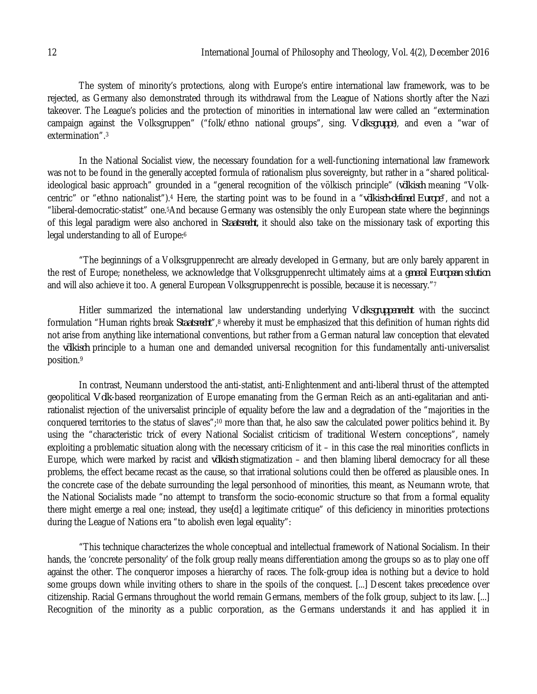The system of minority's protections, along with Europe's entire international law framework, was to be rejected, as Germany also demonstrated through its withdrawal from the League of Nations shortly after the Nazi takeover. The League's policies and the protection of minorities in international law were called an "extermination campaign against the Volksgruppen" ("folk/ethno national groups", sing. *Volksgruppe*), and even a "war of extermination".<sup>3</sup>

In the National Socialist view, the necessary foundation for a well-functioning international law framework was not to be found in the generally accepted formula of rationalism plus sovereignty, but rather in a "shared politicalideological basic approach" grounded in a "general recognition of the völkisch principle" (*völkisch* meaning "Volkcentric" or "ethno nationalist").<sup>4</sup> Here, the starting point was to be found in a "*völkisch-defined Europe*", and not a "liberal-democratic-statist" one.5And because Germany was ostensibly the only European state where the beginnings of this legal paradigm were also anchored in *Staatsrecht*, it should also take on the missionary task of exporting this legal understanding to all of Europe:<sup>6</sup>

"The beginnings of a Volksgruppenrecht are already developed in Germany, but are only barely apparent in the rest of Europe; nonetheless, we acknowledge that Volksgruppenrecht ultimately aims at a *general European solution* and will also achieve it too. A general European Volksgruppenrecht is possible, because it is necessary."<sup>7</sup>

Hitler summarized the international law understanding underlying *Volksgruppenrecht* with the succinct formulation "Human rights break *Staatsrecht*",<sup>8</sup> whereby it must be emphasized that this definition of human rights did not arise from anything like international conventions, but rather from a German natural law conception that elevated the *völkisch* principle to a human one and demanded universal recognition for this fundamentally anti-universalist position.<sup>9</sup>

In contrast, Neumann understood the anti-statist, anti-Enlightenment and anti-liberal thrust of the attempted geopolitical *Volk*-based reorganization of Europe emanating from the German Reich as an anti-egalitarian and antirationalist rejection of the universalist principle of equality before the law and a degradation of the "majorities in the conquered territories to the status of slaves";<sup>10</sup> more than that, he also saw the calculated power politics behind it. By using the "characteristic trick of every National Socialist criticism of traditional Western conceptions", namely exploiting a problematic situation along with the necessary criticism of it – in this case the real minorities conflicts in Europe, which were marked by racist and *völkisch* stigmatization – and then blaming liberal democracy for all these problems, the effect became recast as the cause, so that irrational solutions could then be offered as plausible ones. In the concrete case of the debate surrounding the legal personhood of minorities, this meant, as Neumann wrote, that the National Socialists made "no attempt to transform the socio-economic structure so that from a formal equality there might emerge a real one; instead, they use[d] a legitimate critique" of this deficiency in minorities protections during the League of Nations era "to abolish even legal equality":

"This technique characterizes the whole conceptual and intellectual framework of National Socialism. In their hands, the 'concrete personality' of the folk group really means differentiation among the groups so as to play one off against the other. The conqueror imposes a hierarchy of races. The folk-group idea is nothing but a device to hold some groups down while inviting others to share in the spoils of the conquest. [...] Descent takes precedence over citizenship. Racial Germans throughout the world remain Germans, members of the folk group, subject to its law. [...] Recognition of the minority as a public corporation, as the Germans understands it and has applied it in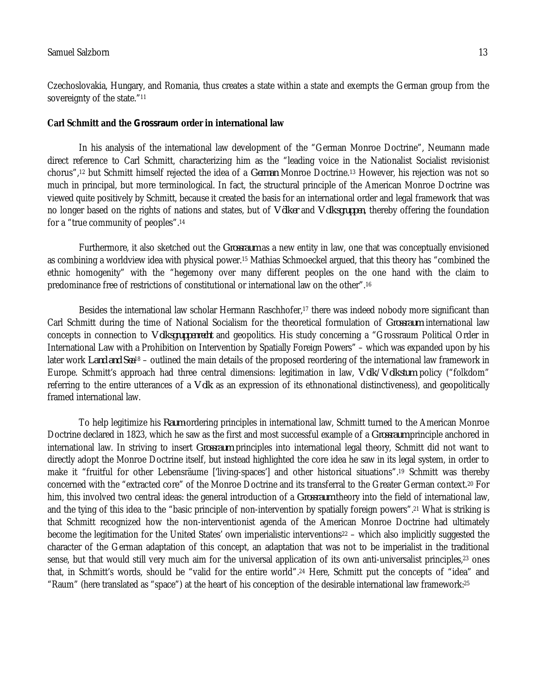Czechoslovakia, Hungary, and Romania, thus creates a state within a state and exempts the German group from the sovereignty of the state."<sup>11</sup>

#### **Carl Schmitt and the** *Grossraum* **order in international law**

In his analysis of the international law development of the "German Monroe Doctrine", Neumann made direct reference to Carl Schmitt, characterizing him as the "leading voice in the Nationalist Socialist revisionist chorus",<sup>12</sup> but Schmitt himself rejected the idea of a *German* Monroe Doctrine.<sup>13</sup> However, his rejection was not so much in principal, but more terminological. In fact, the structural principle of the American Monroe Doctrine was viewed quite positively by Schmitt, because it created the basis for an international order and legal framework that was no longer based on the rights of nations and states, but of *Völker* and *Volksgruppen*, thereby offering the foundation for a "true community of peoples". 14

Furthermore, it also sketched out the *Grossraum* as a new entity in law, one that was conceptually envisioned as combining a worldview idea with physical power.<sup>15</sup> Mathias Schmoeckel argued, that this theory has "combined the ethnic homogenity" with the "hegemony over many different peoples on the one hand with the claim to predominance free of restrictions of constitutional or international law on the other".<sup>16</sup>

Besides the international law scholar Hermann Raschhofer,<sup>17</sup> there was indeed nobody more significant than Carl Schmitt during the time of National Socialism for the theoretical formulation of *Grossraum* international law concepts in connection to *Volksgruppenrecht* and geopolitics. His study concerning a "Grossraum Political Order in International Law with a Prohibition on Intervention by Spatially Foreign Powers" – which was expanded upon by his later work *Land and Sea*<sup>18</sup> – outlined the main details of the proposed reordering of the international law framework in Europe. Schmitt's approach had three central dimensions: legitimation in law, *Volk*/*Volkstum* policy ("folkdom" referring to the entire utterances of a *Volk* as an expression of its ethnonational distinctiveness), and geopolitically framed international law.

To help legitimize his *Raum*-ordering principles in international law, Schmitt turned to the American Monroe Doctrine declared in 1823, which he saw as the first and most successful example of a *Grossraum* principle anchored in international law. In striving to insert *Grossraum* principles into international legal theory, Schmitt did not want to directly adopt the Monroe Doctrine itself, but instead highlighted the core idea he saw in its legal system, in order to make it "fruitful for other Lebensräume ['living-spaces'] and other historical situations".<sup>19</sup> Schmitt was thereby concerned with the "extracted core" of the Monroe Doctrine and its transferral to the Greater German context.<sup>20</sup> For him, this involved two central ideas: the general introduction of a *Grossraum* theory into the field of international law, and the tying of this idea to the "basic principle of non-intervention by spatially foreign powers".<sup>21</sup> What is striking is that Schmitt recognized how the non-interventionist agenda of the American Monroe Doctrine had ultimately become the legitimation for the United States' own imperialistic interventions<sup>22</sup> – which also implicitly suggested the character of the German adaptation of this concept, an adaptation that was not to be imperialist in the traditional sense, but that would still very much aim for the universal application of its own anti-universalist principles,<sup>23</sup> ones that, in Schmitt's words, should be "valid for the entire world".<sup>24</sup> Here, Schmitt put the concepts of "idea" and "Raum" (here translated as "space") at the heart of his conception of the desirable international law framework:25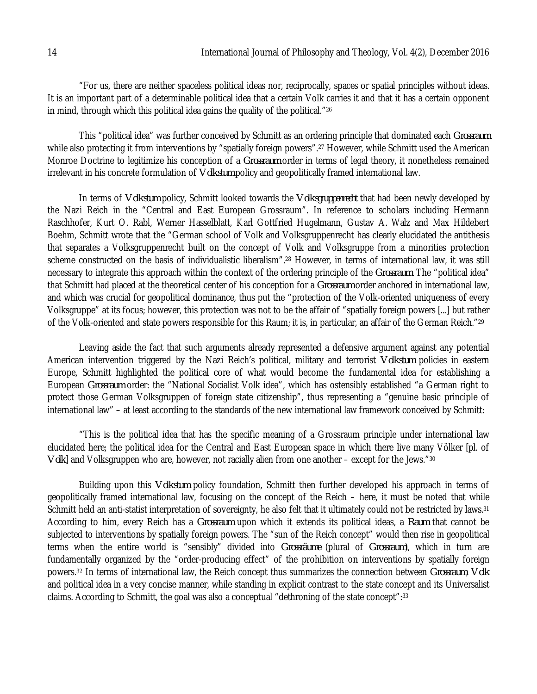"For us, there are neither spaceless political ideas nor, reciprocally, spaces or spatial principles without ideas. It is an important part of a determinable political idea that a certain Volk carries it and that it has a certain opponent in mind, through which this political idea gains the quality of the political."<sup>26</sup>

This "political idea" was further conceived by Schmitt as an ordering principle that dominated each *Grossraum* while also protecting it from interventions by "spatially foreign powers".<sup>27</sup> However, while Schmitt used the American Monroe Doctrine to legitimize his conception of a *Grossraum* order in terms of legal theory, it nonetheless remained irrelevant in his concrete formulation of *Volkstum* policy and geopolitically framed international law.

In terms of *Volkstum* policy, Schmitt looked towards the *Volksgruppenrecht* that had been newly developed by the Nazi Reich in the "Central and East European Grossraum". In reference to scholars including Hermann Raschhofer, Kurt O. Rabl, Werner Hasselblatt, Karl Gottfried Hugelmann, Gustav A. Walz and Max Hildebert Boehm, Schmitt wrote that the "German school of Volk and Volksgruppenrecht has clearly elucidated the antithesis that separates a Volksgruppenrecht built on the concept of Volk and Volksgruppe from a minorities protection scheme constructed on the basis of individualistic liberalism".<sup>28</sup> However, in terms of international law, it was still necessary to integrate this approach within the context of the ordering principle of the *Grossraum*. The "political idea" that Schmitt had placed at the theoretical center of his conception for a *Grossraum* order anchored in international law, and which was crucial for geopolitical dominance, thus put the "protection of the Volk-oriented uniqueness of every Volksgruppe" at its focus; however, this protection was not to be the affair of "spatially foreign powers [...] but rather of the Volk-oriented and state powers responsible for this Raum; it is, in particular, an affair of the German Reich."<sup>29</sup>

Leaving aside the fact that such arguments already represented a defensive argument against any potential American intervention triggered by the Nazi Reich's political, military and terrorist *Volkstum* policies in eastern Europe, Schmitt highlighted the political core of what would become the fundamental idea for establishing a European *Grossraum* order: the "National Socialist Volk idea", which has ostensibly established "a German right to protect those German Volksgruppen of foreign state citizenship", thus representing a "genuine basic principle of international law" – at least according to the standards of the new international law framework conceived by Schmitt:

"This is the political idea that has the specific meaning of a Grossraum principle under international law elucidated here; the political idea for the Central and East European space in which there live many Völker [pl. of *Volk*] and Volksgruppen who are, however, not racially alien from one another – except for the Jews."<sup>30</sup>

Building upon this *Volkstum* policy foundation, Schmitt then further developed his approach in terms of geopolitically framed international law, focusing on the concept of the Reich – here, it must be noted that while Schmitt held an anti-statist interpretation of sovereignty, he also felt that it ultimately could not be restricted by laws.<sup>31</sup> According to him, every Reich has a *Grossraum* upon which it extends its political ideas, a *Raum* that cannot be subjected to interventions by spatially foreign powers. The "sun of the Reich concept" would then rise in geopolitical terms when the entire world is "sensibly" divided into *Grossräume* (plural of *Grossraum*), which in turn are fundamentally organized by the "order-producing effect" of the prohibition on interventions by spatially foreign powers.<sup>32</sup> In terms of international law, the Reich concept thus summarizes the connection between *Grossraum*, *Volk* and political idea in a very concise manner, while standing in explicit contrast to the state concept and its Universalist claims. According to Schmitt, the goal was also a conceptual "dethroning of the state concept":33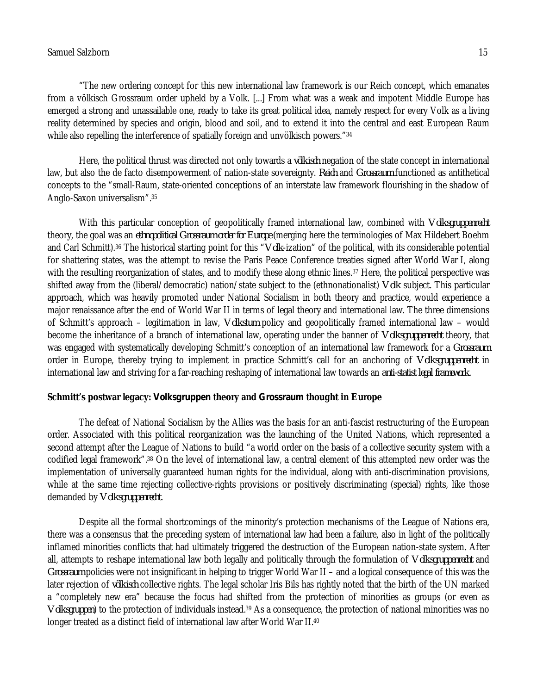"The new ordering concept for this new international law framework is our Reich concept, which emanates from a völkisch Grossraum order upheld by a Volk. [...] From what was a weak and impotent Middle Europe has emerged a strong and unassailable one, ready to take its great political idea, namely respect for every Volk as a living reality determined by species and origin, blood and soil, and to extend it into the central and east European Raum while also repelling the interference of spatially foreign and unvölkisch powers."34

Here, the political thrust was directed not only towards a *völkisch* negation of the state concept in international law, but also the de facto disempowerment of nation-state sovereignty. *Reich* and *Grossraum* functioned as antithetical concepts to the "small-Raum, state-oriented conceptions of an interstate law framework flourishing in the shadow of Anglo-Saxon universalism".<sup>35</sup>

With this particular conception of geopolitically framed international law, combined with *Volksgruppenrecht* theory, the goal was an *ethnopolitical Grossraum order for Europe* (merging here the terminologies of Max Hildebert Boehm and Carl Schmitt).<sup>36</sup> The historical starting point for this "*Volk*-ization" of the political, with its considerable potential for shattering states, was the attempt to revise the Paris Peace Conference treaties signed after World War I, along with the resulting reorganization of states, and to modify these along ethnic lines.<sup>37</sup> Here, the political perspective was shifted away from the (liberal/democratic) nation/state subject to the (ethnonationalist) *Volk* subject. This particular approach, which was heavily promoted under National Socialism in both theory and practice, would experience a major renaissance after the end of World War II in terms of legal theory and international law. The three dimensions of Schmitt's approach – legitimation in law, *Volkstum* policy and geopolitically framed international law – would become the inheritance of a branch of international law, operating under the banner of *Volksgruppenrecht* theory, that was engaged with systematically developing Schmitt's conception of an international law framework for a *Grossraum* order in Europe, thereby trying to implement in practice Schmitt's call for an anchoring of *Volksgruppenrecht* in international law and striving for a far-reaching reshaping of international law towards an *anti-statist legal framework*.

#### **Schmitt's postwar legacy:** *Volksgruppen* **theory and** *Grossraum* **thought in Europe**

The defeat of National Socialism by the Allies was the basis for an anti-fascist restructuring of the European order. Associated with this political reorganization was the launching of the United Nations, which represented a second attempt after the League of Nations to build "a world order on the basis of a collective security system with a codified legal framework".<sup>38</sup> On the level of international law, a central element of this attempted new order was the implementation of universally guaranteed human rights for the individual, along with anti-discrimination provisions, while at the same time rejecting collective-rights provisions or positively discriminating (special) rights, like those demanded by *Volksgruppenrecht*.

Despite all the formal shortcomings of the minority's protection mechanisms of the League of Nations era, there was a consensus that the preceding system of international law had been a failure, also in light of the politically inflamed minorities conflicts that had ultimately triggered the destruction of the European nation-state system. After all, attempts to reshape international law both legally and politically through the formulation of *Volksgruppenrecht* and *Grossraum* policies were not insignificant in helping to trigger World War II – and a logical consequence of this was the later rejection of *völkisch* collective rights. The legal scholar Iris Bils has rightly noted that the birth of the UN marked a "completely new era" because the focus had shifted from the protection of minorities as groups (or even as *Volksgruppen*) to the protection of individuals instead.<sup>39</sup> As a consequence, the protection of national minorities was no longer treated as a distinct field of international law after World War II.<sup>40</sup>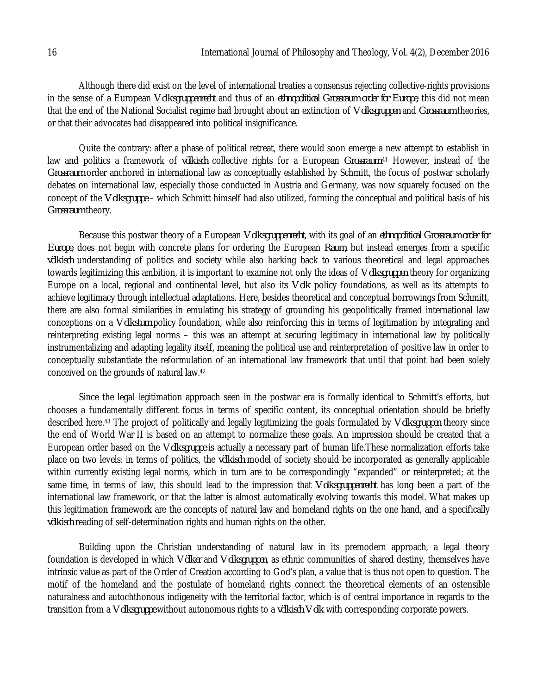Although there did exist on the level of international treaties a consensus rejecting collective-rights provisions in the sense of a European *Volksgruppenrecht* and thus of an *ethnopolitical Grossraum order for Europe*, this did not mean that the end of the National Socialist regime had brought about an extinction of *Volksgruppen* and *Grossraum* theories, or that their advocates had disappeared into political insignificance.

Quite the contrary: after a phase of political retreat, there would soon emerge a new attempt to establish in law and politics a framework of *völkisch* collective rights for a European *Grossraum*. <sup>41</sup> However, instead of the *Grossraum* order anchored in international law as conceptually established by Schmitt, the focus of postwar scholarly debates on international law, especially those conducted in Austria and Germany, was now squarely focused on the concept of the *Volksgruppe* – which Schmitt himself had also utilized, forming the conceptual and political basis of his *Grossraum* theory.

Because this postwar theory of a European *Volksgruppenrecht*, with its goal of an *ethnopolitical Grossraum order for Europe*, does not begin with concrete plans for ordering the European *Raum*, but instead emerges from a specific *völkisch* understanding of politics and society while also harking back to various theoretical and legal approaches towards legitimizing this ambition, it is important to examine not only the ideas of *Volksgruppen* theory for organizing Europe on a local, regional and continental level, but also its *Volk* policy foundations, as well as its attempts to achieve legitimacy through intellectual adaptations. Here, besides theoretical and conceptual borrowings from Schmitt, there are also formal similarities in emulating his strategy of grounding his geopolitically framed international law conceptions on a *Volkstum* policy foundation, while also reinforcing this in terms of legitimation by integrating and reinterpreting existing legal norms – this was an attempt at securing legitimacy in international law by politically instrumentalizing and adapting legality itself, meaning the political use and reinterpretation of positive law in order to conceptually substantiate the reformulation of an international law framework that until that point had been solely conceived on the grounds of natural law.<sup>42</sup>

Since the legal legitimation approach seen in the postwar era is formally identical to Schmitt's efforts, but chooses a fundamentally different focus in terms of specific content, its conceptual orientation should be briefly described here.<sup>43</sup> The project of politically and legally legitimizing the goals formulated by *Volksgruppen* theory since the end of World War II is based on an attempt to normalize these goals. An impression should be created that a European order based on the *Volksgruppe* is actually a necessary part of human life.These normalization efforts take place on two levels: in terms of politics, the *völkisch* model of society should be incorporated as generally applicable within currently existing legal norms, which in turn are to be correspondingly "expanded" or reinterpreted; at the same time, in terms of law, this should lead to the impression that *Volksgruppenrecht* has long been a part of the international law framework, or that the latter is almost automatically evolving towards this model. What makes up this legitimation framework are the concepts of natural law and homeland rights on the one hand, and a specifically *völkisch* reading of self-determination rights and human rights on the other.

Building upon the Christian understanding of natural law in its premodern approach, a legal theory foundation is developed in which *Völker* and *Volksgruppen*, as ethnic communities of shared destiny, themselves have intrinsic value as part of the Order of Creation according to God's plan, a value that is thus not open to question. The motif of the homeland and the postulate of homeland rights connect the theoretical elements of an ostensible naturalness and autochthonous indigeneity with the territorial factor, which is of central importance in regards to the transition from a *Volksgruppe* without autonomous rights to a *völkisch Volk* with corresponding corporate powers.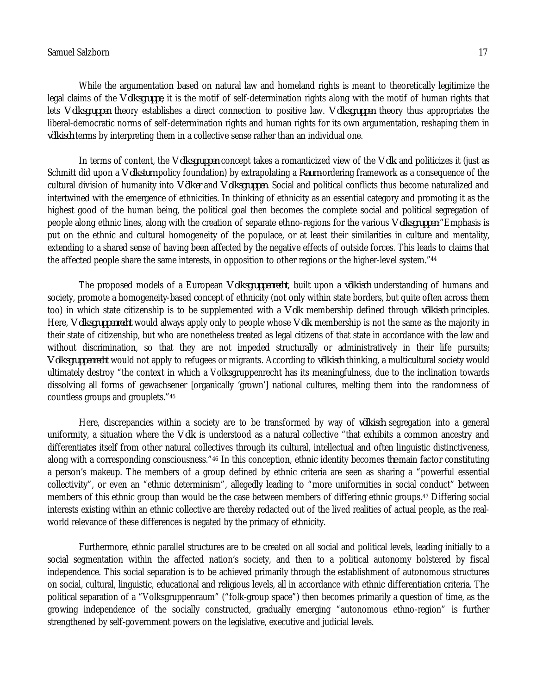#### Samuel Salzborn 17 and 17 and 17 and 17 and 17 and 17 and 17 and 17 and 17 and 17 and 17 and 17 and 17 and 17 and 17 and 17 and 17 and 17 and 17 and 17 and 17 and 17 and 17 and 17 and 17 and 17 and 17 and 17 and 17 and 17

While the argumentation based on natural law and homeland rights is meant to theoretically legitimize the legal claims of the *Volksgruppe*, it is the motif of self-determination rights along with the motif of human rights that lets *Volksgruppen* theory establishes a direct connection to positive law. *Volksgruppen* theory thus appropriates the liberal-democratic norms of self-determination rights and human rights for its own argumentation, reshaping them in *völkisch* terms by interpreting them in a collective sense rather than an individual one.

In terms of content, the *Volksgruppen* concept takes a romanticized view of the *Volk* and politicizes it (just as Schmitt did upon a *Volkstum* policy foundation) by extrapolating a *Raum*-ordering framework as a consequence of the cultural division of humanity into *Völker* and *Volksgruppen*. Social and political conflicts thus become naturalized and intertwined with the emergence of ethnicities. In thinking of ethnicity as an essential category and promoting it as the highest good of the human being, the political goal then becomes the complete social and political segregation of people along ethnic lines, along with the creation of separate ethno-regions for the various *Volksgruppen*:"Emphasis is put on the ethnic and cultural homogeneity of the populace, or at least their similarities in culture and mentality, extending to a shared sense of having been affected by the negative effects of outside forces. This leads to claims that the affected people share the same interests, in opposition to other regions or the higher-level system."<sup>44</sup>

The proposed models of a European *Volksgruppenrecht*, built upon a *völkisch* understanding of humans and society, promote a homogeneity-based concept of ethnicity (not only within state borders, but quite often across them too) in which state citizenship is to be supplemented with a *Volk* membership defined through *völkisch* principles. Here, *Volksgruppenrecht* would always apply only to people whose *Volk* membership is not the same as the majority in their state of citizenship, but who are nonetheless treated as legal citizens of that state in accordance with the law and without discrimination, so that they are not impeded structurally or administratively in their life pursuits; *Volksgruppenrecht* would not apply to refugees or migrants. According to *völkisch* thinking, a multicultural society would ultimately destroy "the context in which a Volksgruppenrecht has its meaningfulness, due to the inclination towards dissolving all forms of gewachsener [organically 'grown'] national cultures, melting them into the randomness of countless groups and grouplets."<sup>45</sup>

Here, discrepancies within a society are to be transformed by way of *völkisch* segregation into a general uniformity, a situation where the *Volk* is understood as a natural collective "that exhibits a common ancestry and differentiates itself from other natural collectives through its cultural, intellectual and often linguistic distinctiveness, along with a corresponding consciousness."<sup>46</sup> In this conception, ethnic identity becomes *the* main factor constituting a person's makeup. The members of a group defined by ethnic criteria are seen as sharing a "powerful essential collectivity", or even an "ethnic determinism", allegedly leading to "more uniformities in social conduct" between members of this ethnic group than would be the case between members of differing ethnic groups.<sup>47</sup> Differing social interests existing within an ethnic collective are thereby redacted out of the lived realities of actual people, as the realworld relevance of these differences is negated by the primacy of ethnicity.

Furthermore, ethnic parallel structures are to be created on all social and political levels, leading initially to a social segmentation within the affected nation's society, and then to a political autonomy bolstered by fiscal independence. This social separation is to be achieved primarily through the establishment of autonomous structures on social, cultural, linguistic, educational and religious levels, all in accordance with ethnic differentiation criteria. The political separation of a "Volksgruppenraum" ("folk-group space") then becomes primarily a question of time, as the growing independence of the socially constructed, gradually emerging "autonomous ethno-region" is further strengthened by self-government powers on the legislative, executive and judicial levels.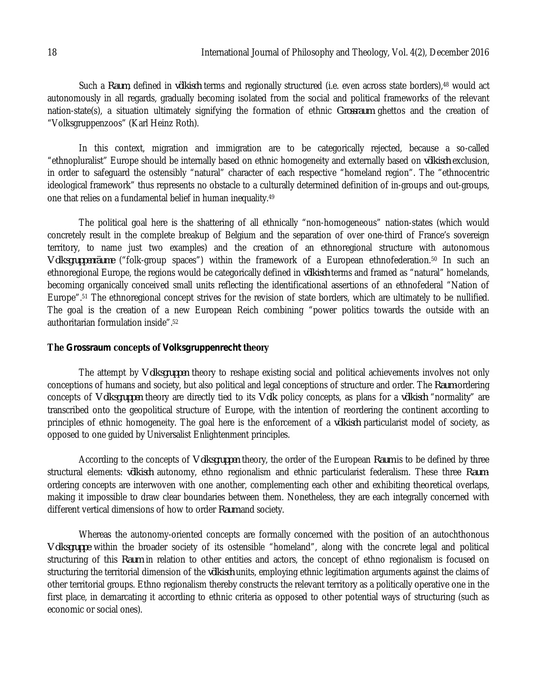Such a *Raum*, defined in *völkisch* terms and regionally structured (i.e. even across state borders),<sup>48</sup> would act autonomously in all regards, gradually becoming isolated from the social and political frameworks of the relevant nation-state(s), a situation ultimately signifying the formation of ethnic *Grossraum* ghettos and the creation of "Volksgruppenzoos" (Karl Heinz Roth).

In this context, migration and immigration are to be categorically rejected, because a so-called "ethnopluralist" Europe should be internally based on ethnic homogeneity and externally based on *völkisch* exclusion, in order to safeguard the ostensibly "natural" character of each respective "homeland region". The "ethnocentric ideological framework" thus represents no obstacle to a culturally determined definition of in-groups and out-groups, one that relies on a fundamental belief in human inequality.<sup>49</sup>

The political goal here is the shattering of all ethnically "non-homogeneous" nation-states (which would concretely result in the complete breakup of Belgium and the separation of over one-third of France's sovereign territory, to name just two examples) and the creation of an ethnoregional structure with autonomous *Volksgruppenräume* ("folk-group spaces") within the framework of a European ethnofederation.<sup>50</sup> In such an ethnoregional Europe, the regions would be categorically defined in *völkisch* terms and framed as "natural" homelands, becoming organically conceived small units reflecting the identificational assertions of an ethnofederal "Nation of Europe".<sup>51</sup> The ethnoregional concept strives for the revision of state borders, which are ultimately to be nullified. The goal is the creation of a new European Reich combining "power politics towards the outside with an authoritarian formulation inside".<sup>52</sup>

#### **The** *Grossraum* **concepts of** *Volksgruppenrecht* **theory**

The attempt by *Volksgruppen* theory to reshape existing social and political achievements involves not only conceptions of humans and society, but also political and legal conceptions of structure and order. The *Raum*-ordering concepts of *Volksgruppen* theory are directly tied to its *Volk* policy concepts, as plans for a *völkisch* "normality" are transcribed onto the geopolitical structure of Europe, with the intention of reordering the continent according to principles of ethnic homogeneity. The goal here is the enforcement of a *völkisch* particularist model of society, as opposed to one guided by Universalist Enlightenment principles.

According to the concepts of *Volksgruppen* theory, the order of the European *Raum* is to be defined by three structural elements: *völkisch* autonomy, ethno regionalism and ethnic particularist federalism. These three *Raum*ordering concepts are interwoven with one another, complementing each other and exhibiting theoretical overlaps, making it impossible to draw clear boundaries between them. Nonetheless, they are each integrally concerned with different vertical dimensions of how to order *Raum* and society.

Whereas the autonomy-oriented concepts are formally concerned with the position of an autochthonous *Volksgruppe* within the broader society of its ostensible "homeland", along with the concrete legal and political structuring of this *Raum* in relation to other entities and actors, the concept of ethno regionalism is focused on structuring the territorial dimension of the *völkisch* units, employing ethnic legitimation arguments against the claims of other territorial groups. Ethno regionalism thereby constructs the relevant territory as a politically operative one in the first place, in demarcating it according to ethnic criteria as opposed to other potential ways of structuring (such as economic or social ones).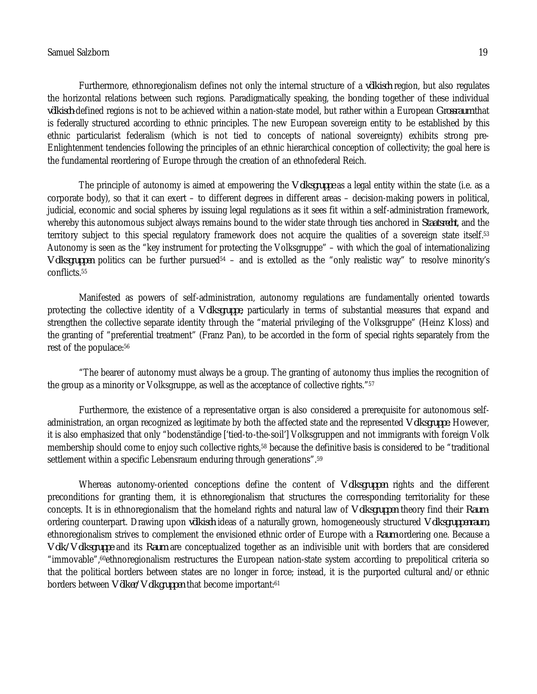Furthermore, ethnoregionalism defines not only the internal structure of a *völkisch* region, but also regulates the horizontal relations between such regions. Paradigmatically speaking, the bonding together of these individual *völkisch*-defined regions is not to be achieved within a nation-state model, but rather within a European *Grossraum* that is federally structured according to ethnic principles. The new European sovereign entity to be established by this ethnic particularist federalism (which is not tied to concepts of national sovereignty) exhibits strong pre-Enlightenment tendencies following the principles of an ethnic hierarchical conception of collectivity; the goal here is the fundamental reordering of Europe through the creation of an ethnofederal Reich.

The principle of autonomy is aimed at empowering the *Volksgruppe* as a legal entity within the state (i.e. as a corporate body), so that it can exert – to different degrees in different areas – decision-making powers in political, judicial, economic and social spheres by issuing legal regulations as it sees fit within a self-administration framework, whereby this autonomous subject always remains bound to the wider state through ties anchored in *Staatsrecht*, and the territory subject to this special regulatory framework does not acquire the qualities of a sovereign state itself.<sup>53</sup> Autonomy is seen as the "key instrument for protecting the Volksgruppe" – with which the goal of internationalizing *Volksgruppen* politics can be further pursued<sup>54</sup> – and is extolled as the "only realistic way" to resolve minority's conflicts.<sup>55</sup>

Manifested as powers of self-administration, autonomy regulations are fundamentally oriented towards protecting the collective identity of a *Volksgruppe*, particularly in terms of substantial measures that expand and strengthen the collective separate identity through the "material privileging of the Volksgruppe" (Heinz Kloss) and the granting of "preferential treatment" (Franz Pan), to be accorded in the form of special rights separately from the rest of the populace:<sup>56</sup>

"The bearer of autonomy must always be a group. The granting of autonomy thus implies the recognition of the group as a minority or Volksgruppe, as well as the acceptance of collective rights."<sup>57</sup>

Furthermore, the existence of a representative organ is also considered a prerequisite for autonomous selfadministration, an organ recognized as legitimate by both the affected state and the represented *Volksgruppe*. However, it is also emphasized that only "bodenständige ['tied-to-the-soil'] Volksgruppen and not immigrants with foreign Volk membership should come to enjoy such collective rights,<sup>58</sup> because the definitive basis is considered to be "traditional settlement within a specific Lebensraum enduring through generations".<sup>59</sup>

Whereas autonomy-oriented conceptions define the content of *Volksgruppen* rights and the different preconditions for granting them, it is ethnoregionalism that structures the corresponding territoriality for these concepts. It is in ethnoregionalism that the homeland rights and natural law of *Volksgruppen* theory find their *Raum*ordering counterpart. Drawing upon *völkisch* ideas of a naturally grown, homogeneously structured *Volksgruppenraum*, ethnoregionalism strives to complement the envisioned ethnic order of Europe with a *Raum*-ordering one. Because a *Volk/Volksgruppe* and its *Raum* are conceptualized together as an indivisible unit with borders that are considered "immovable",60ethnoregionalism restructures the European nation-state system according to prepolitical criteria so that the political borders between states are no longer in force; instead, it is the purported cultural and/or ethnic borders between *Völker/Volkgruppen* that become important:<sup>61</sup>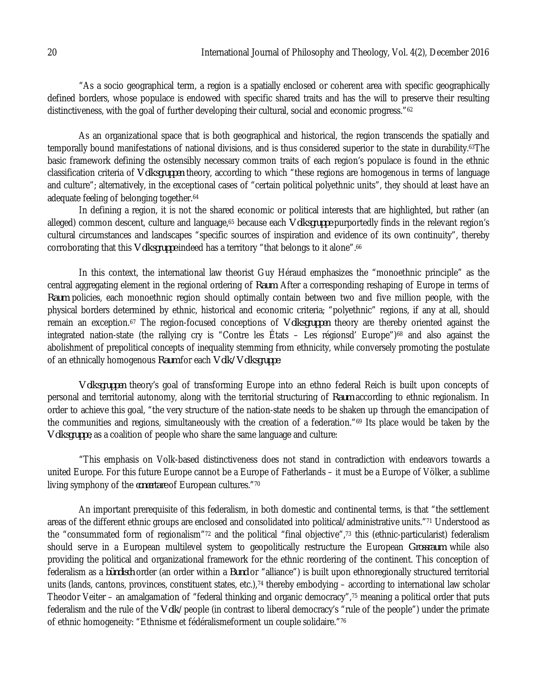"As a socio geographical term, a region is a spatially enclosed or coherent area with specific geographically defined borders, whose populace is endowed with specific shared traits and has the will to preserve their resulting distinctiveness, with the goal of further developing their cultural, social and economic progress."<sup>62</sup>

As an organizational space that is both geographical and historical, the region transcends the spatially and temporally bound manifestations of national divisions, and is thus considered superior to the state in durability.63The basic framework defining the ostensibly necessary common traits of each region's populace is found in the ethnic classification criteria of *Volksgruppen* theory, according to which "these regions are homogenous in terms of language and culture"; alternatively, in the exceptional cases of "certain political polyethnic units", they should at least have an adequate feeling of belonging together.<sup>64</sup>

In defining a region, it is not the shared economic or political interests that are highlighted, but rather (an alleged) common descent, culture and language,<sup>65</sup> because each *Volksgruppe* purportedly finds in the relevant region's cultural circumstances and landscapes "specific sources of inspiration and evidence of its own continuity", thereby corroborating that this *Volksgruppe* indeed has a territory "that belongs to it alone".<sup>66</sup>

In this context, the international law theorist Guy Héraud emphasizes the "monoethnic principle" as the central aggregating element in the regional ordering of *Raum*. After a corresponding reshaping of Europe in terms of *Raum* policies, each monoethnic region should optimally contain between two and five million people, with the physical borders determined by ethnic, historical and economic criteria; "polyethnic" regions, if any at all, should remain an exception.<sup>67</sup> The region-focused conceptions of *Volksgruppen* theory are thereby oriented against the integrated nation-state (the rallying cry is "Contre les États – Les régionsd' Europe")<sup>68</sup> and also against the abolishment of prepolitical concepts of inequality stemming from ethnicity, while conversely promoting the postulate of an ethnically homogenous *Raum* for each *Volk/Volksgruppe*.

*Volksgruppen* theory's goal of transforming Europe into an ethno federal Reich is built upon concepts of personal and territorial autonomy, along with the territorial structuring of *Raum* according to ethnic regionalism. In order to achieve this goal, "the very structure of the nation-state needs to be shaken up through the emancipation of the communities and regions, simultaneously with the creation of a federation."<sup>69</sup> Its place would be taken by the *Volksgruppe*, as a coalition of people who share the same language and culture:

"This emphasis on Volk-based distinctiveness does not stand in contradiction with endeavors towards a united Europe. For this future Europe cannot be a Europe of Fatherlands – it must be a Europe of Völker, a sublime living symphony of the *concertare* of European cultures."<sup>70</sup>

An important prerequisite of this federalism, in both domestic and continental terms, is that "the settlement areas of the different ethnic groups are enclosed and consolidated into political/administrative units."<sup>71</sup> Understood as the "consummated form of regionalism"<sup>72</sup> and the political "final objective",<sup>73</sup> this (ethnic-particularist) federalism should serve in a European multilevel system to geopolitically restructure the European *Grossraum* while also providing the political and organizational framework for the ethnic reordering of the continent. This conception of federalism as a *bündisch* order (an order within a *Bund* or "alliance") is built upon ethnoregionally structured territorial units (lands, cantons, provinces, constituent states, etc.),<sup>74</sup> thereby embodying – according to international law scholar Theodor Veiter – an amalgamation of "federal thinking and organic democracy",<sup>75</sup> meaning a political order that puts federalism and the rule of the *Volk*/people (in contrast to liberal democracy's "rule of the people") under the primate of ethnic homogeneity: "Ethnisme et fédéralismeforment un couple solidaire."76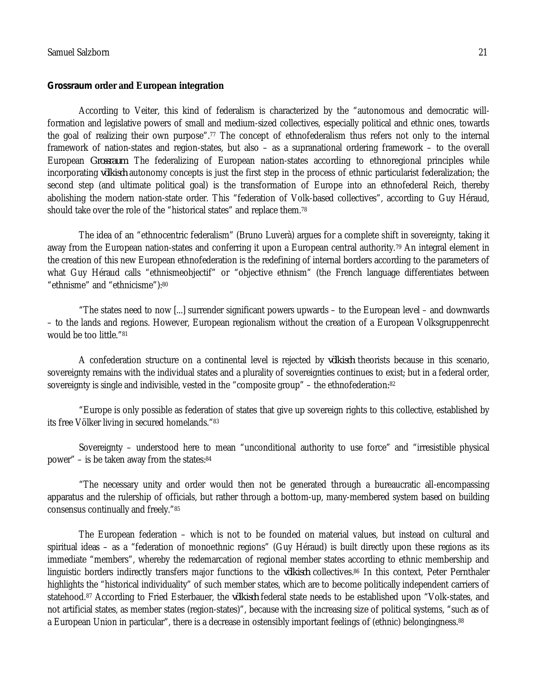#### *Grossraum* **order and European integration**

According to Veiter, this kind of federalism is characterized by the "autonomous and democratic willformation and legislative powers of small and medium-sized collectives, especially political and ethnic ones, towards the goal of realizing their own purpose".<sup>77</sup> The concept of ethnofederalism thus refers not only to the internal framework of nation-states and region-states, but also – as a supranational ordering framework – to the overall European *Grossraum*. The federalizing of European nation-states according to ethnoregional principles while incorporating *völkisch* autonomy concepts is just the first step in the process of ethnic particularist federalization; the second step (and ultimate political goal) is the transformation of Europe into an ethnofederal Reich, thereby abolishing the modern nation-state order. This "federation of Volk-based collectives", according to Guy Héraud, should take over the role of the "historical states" and replace them.<sup>78</sup>

The idea of an "ethnocentric federalism" (Bruno Luverà) argues for a complete shift in sovereignty, taking it away from the European nation-states and conferring it upon a European central authority.<sup>79</sup> An integral element in the creation of this new European ethnofederation is the redefining of internal borders according to the parameters of what Guy Héraud calls "ethnismeobjectif" or "objective ethnism" (the French language differentiates between "ethnisme" and "ethnicisme"):<sup>80</sup>

"The states need to now [...] surrender significant powers upwards – to the European level – and downwards – to the lands and regions. However, European regionalism without the creation of a European Volksgruppenrecht would be too little."<sup>81</sup>

A confederation structure on a continental level is rejected by *völkisch* theorists because in this scenario, sovereignty remains with the individual states and a plurality of sovereignties continues to exist; but in a federal order, sovereignty is single and indivisible, vested in the "composite group" – the ethnofederation:82

"Europe is only possible as federation of states that give up sovereign rights to this collective, established by its free Völker living in secured homelands."<sup>83</sup>

Sovereignty – understood here to mean "unconditional authority to use force" and "irresistible physical power" – is be taken away from the states: $84$ 

"The necessary unity and order would then not be generated through a bureaucratic all-encompassing apparatus and the rulership of officials, but rather through a bottom-up, many-membered system based on building consensus continually and freely."<sup>85</sup>

The European federation – which is not to be founded on material values, but instead on cultural and spiritual ideas – as a "federation of monoethnic regions" (Guy Héraud) is built directly upon these regions as its immediate "members", whereby the redemarcation of regional member states according to ethnic membership and linguistic borders indirectly transfers major functions to the *völkisch* collectives.<sup>86</sup> In this context, Peter Pernthaler highlights the "historical individuality" of such member states, which are to become politically independent carriers of statehood.<sup>87</sup> According to Fried Esterbauer, the *völkisch* federal state needs to be established upon "Volk-states, and not artificial states, as member states (region-states)", because with the increasing size of political systems, "such as of a European Union in particular", there is a decrease in ostensibly important feelings of (ethnic) belongingness.<sup>88</sup>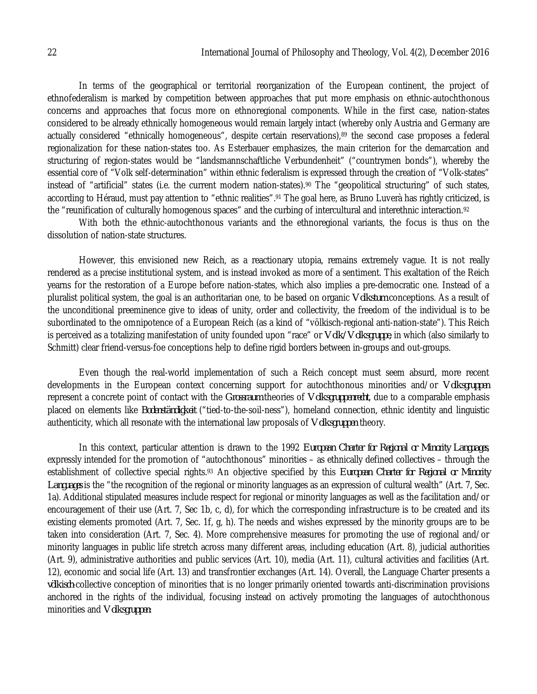In terms of the geographical or territorial reorganization of the European continent, the project of ethnofederalism is marked by competition between approaches that put more emphasis on ethnic-autochthonous concerns and approaches that focus more on ethnoregional components. While in the first case, nation-states considered to be already ethnically homogeneous would remain largely intact (whereby only Austria and Germany are actually considered "ethnically homogeneous", despite certain reservations),<sup>89</sup> the second case proposes a federal regionalization for these nation-states too. As Esterbauer emphasizes, the main criterion for the demarcation and structuring of region-states would be "landsmannschaftliche Verbundenheit" ("countrymen bonds"), whereby the essential core of "Volk self-determination" within ethnic federalism is expressed through the creation of "Volk-states" instead of "artificial" states (i.e. the current modern nation-states).<sup>90</sup> The "geopolitical structuring" of such states, according to Héraud, must pay attention to "ethnic realities".91 The goal here, as Bruno Luverà has rightly criticized, is the "reunification of culturally homogenous spaces" and the curbing of intercultural and interethnic interaction.<sup>92</sup>

With both the ethnic-autochthonous variants and the ethnoregional variants, the focus is thus on the dissolution of nation-state structures.

However, this envisioned new Reich, as a reactionary utopia, remains extremely vague. It is not really rendered as a precise institutional system, and is instead invoked as more of a sentiment. This exaltation of the Reich yearns for the restoration of a Europe before nation-states, which also implies a pre-democratic one. Instead of a pluralist political system, the goal is an authoritarian one, to be based on organic *Volkstum* conceptions. As a result of the unconditional preeminence give to ideas of unity, order and collectivity, the freedom of the individual is to be subordinated to the omnipotence of a European Reich (as a kind of "völkisch-regional anti-nation-state"). This Reich is perceived as a totalizing manifestation of unity founded upon "race" or *Volk/Volksgruppe*, in which (also similarly to Schmitt) clear friend-versus-foe conceptions help to define rigid borders between in-groups and out-groups.

Even though the real-world implementation of such a Reich concept must seem absurd, more recent developments in the European context concerning support for autochthonous minorities and/or *Volksgruppen* represent a concrete point of contact with the *Grossraum* theories of *Volksgruppenrecht*, due to a comparable emphasis placed on elements like *Bodenständigkeit* ("tied-to-the-soil-ness"), homeland connection, ethnic identity and linguistic authenticity, which all resonate with the international law proposals of *Volksgruppen* theory.

In this context, particular attention is drawn to the 1992 *European Charter for Regional or Minority Languages*, expressly intended for the promotion of "autochthonous" minorities – as ethnically defined collectives – through the establishment of collective special rights.<sup>93</sup> An objective specified by this *European Charter for Regional or Minority Languages* is the "the recognition of the regional or minority languages as an expression of cultural wealth" (Art. 7, Sec. 1a). Additional stipulated measures include respect for regional or minority languages as well as the facilitation and/or encouragement of their use (Art. 7, Sec 1b, c, d), for which the corresponding infrastructure is to be created and its existing elements promoted (Art. 7, Sec. 1f, g, h). The needs and wishes expressed by the minority groups are to be taken into consideration (Art. 7, Sec. 4). More comprehensive measures for promoting the use of regional and/or minority languages in public life stretch across many different areas, including education (Art. 8), judicial authorities (Art. 9), administrative authorities and public services (Art. 10), media (Art. 11), cultural activities and facilities (Art. 12), economic and social life (Art. 13) and transfrontier exchanges (Art. 14). Overall, the Language Charter presents a *völkisch*-collective conception of minorities that is no longer primarily oriented towards anti-discrimination provisions anchored in the rights of the individual, focusing instead on actively promoting the languages of autochthonous minorities and *Volksgruppen*: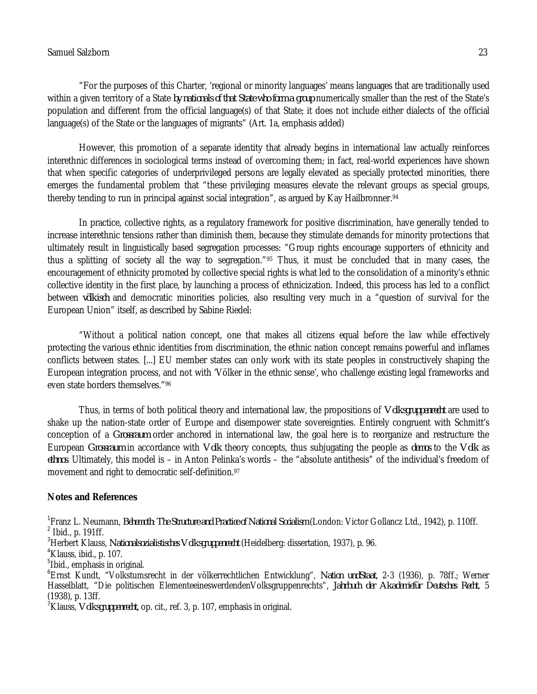"For the purposes of this Charter, 'regional or minority languages' means languages that are traditionally used within a given territory of a State *by nationals of that State who form a group* numerically smaller than the rest of the State's population and different from the official language(s) of that State; it does not include either dialects of the official language(s) of the State or the languages of migrants" (Art. 1a, emphasis added)

However, this promotion of a separate identity that already begins in international law actually reinforces interethnic differences in sociological terms instead of overcoming them; in fact, real-world experiences have shown that when specific categories of underprivileged persons are legally elevated as specially protected minorities, there emerges the fundamental problem that "these privileging measures elevate the relevant groups as special groups, thereby tending to run in principal against social integration", as argued by Kay Hailbronner.<sup>94</sup>

In practice, collective rights, as a regulatory framework for positive discrimination, have generally tended to increase interethnic tensions rather than diminish them, because they stimulate demands for minority protections that ultimately result in linguistically based segregation processes: "Group rights encourage supporters of ethnicity and thus a splitting of society all the way to segregation."<sup>95</sup> Thus, it must be concluded that in many cases, the encouragement of ethnicity promoted by collective special rights is what led to the consolidation of a minority's ethnic collective identity in the first place, by launching a process of ethnicization. Indeed, this process has led to a conflict between *völkisch* and democratic minorities policies, also resulting very much in a "question of survival for the European Union" itself, as described by Sabine Riedel:

"Without a political nation concept, one that makes all citizens equal before the law while effectively protecting the various ethnic identities from discrimination, the ethnic nation concept remains powerful and inflames conflicts between states. [...] EU member states can only work with its state peoples in constructively shaping the European integration process, and not with 'Völker in the ethnic sense', who challenge existing legal frameworks and even state borders themselves."<sup>96</sup>

Thus, in terms of both political theory and international law, the propositions of *Volksgruppenrecht* are used to shake up the nation-state order of Europe and disempower state sovereignties. Entirely congruent with Schmitt's conception of a *Grossraum* order anchored in international law, the goal here is to reorganize and restructure the European *Grossraum* in accordance with *Volk* theory concepts, thus subjugating the people as *demos* to the *Volk* as *ethnos*. Ultimately, this model is – in Anton Pelinka's words – the "absolute antithesis" of the individual's freedom of movement and right to democratic self-definition. 97

#### **Notes and References**

1 Franz L. Neumann, *Behemoth: The Structure and Practice of National Socialism* (London: Victor Gollancz Ltd., 1942), p. 110ff.  $2$  Ibid., p. 191ff.

<sup>3</sup>Herbert Klauss, *Nationalsozialistisches Volksgruppenrecht* (Heidelberg: dissertation, 1937), p. 96.

 $<sup>4</sup>$ Klauss, ibid., p. 107.</sup>

<sup>5</sup>Ibid., emphasis in original.

<sup>6</sup>Ernst Kundt, "Volkstumsrecht in der völkerrechtlichen Entwicklung", *Nation undStaat*, 2-3 (1936), p. 78ff.; Werner Hasselblatt, "Die politischen ElementeeineswerdendenVolksgruppenrechts", *Jahrbuch der Akademiefür Deutsches Recht*, 5 (1938), p. 13ff.

<sup>7</sup>Klauss, *Volksgruppenrecht,* op. cit., ref. 3, p. 107, emphasis in original.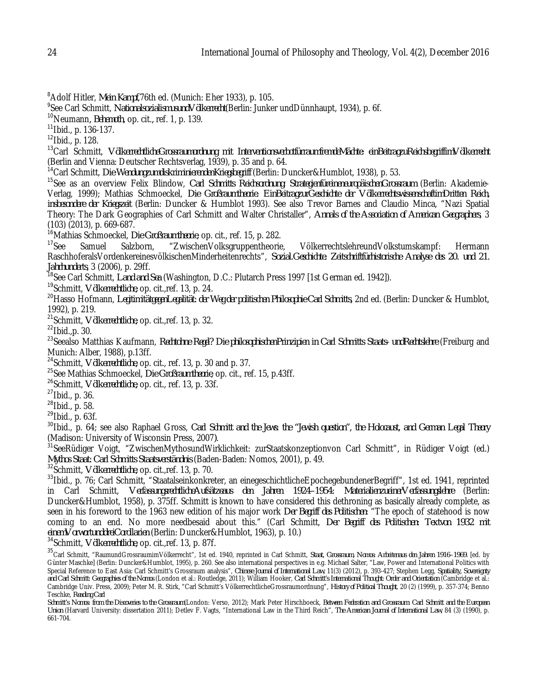<sup>8</sup>Adolf Hitler, *Mein Kampf*,76th ed. (Munich: Eher 1933), p. 105.

9 See Carl Schmitt, *NationalsozialismusundVölkerrecht*(Berlin: Junker undDünnhaupt, 1934), p. 6f.

<sup>10</sup>Neumann*, Behemoth,* op. cit.*,* ref. 1, p. 139.

<sup>11</sup>Ibid., p. 136-137.

 $12$ Ibid., p. 128.

<sup>13</sup>Carl Schmitt, *VölkerrechtlicheGrossraumordnung mit InterventionsverbotfürraumfremdeMächte: einBeitragzuReichsbegriffimVölkerrecht* (Berlin and Vienna: Deutscher Rechtsverlag, 1939), p. 35 and p. 64.

<sup>14</sup>Carl Schmitt, *Die WendungzumdiskriminierendenKriegsbegriff* (Berlin: Duncker&Humblot, 1938), p. 53.

<sup>15</sup>See as an overview Felix Blindow, *Carl Schmitts Reichsordnung: StrategienfüreineneuropäischenGrossraum* (Berlin: Akademie-Verlag, 1999); Mathias Schmoeckel, *Die Großraumtheorie. EinBeitragzurGeschichte der VölkerrechtswissenschaftimDritten Reich, insbesondere der Kriegszeit* (Berlin: Duncker & Humblot 1993). See also Trevor Barnes and Claudio Minca, "Nazi Spatial Theory: The Dark Geographies of Carl Schmitt and Walter Christaller", *Annals of the Association of American Geographers*, 3 (103) (2013), p. 669-687.

<sup>16</sup>Mathias Schmoeckel, *Die Großraumtheorie*, op. cit., ref. 15, p. 282.<br><sup>17</sup>See Samuel Salzborn, "Zwischen Volksgruppentheorie,

VölkerrechtslehreundVolkstumskampf: Hermann RaschhoferalsVordenkereinesvölkischenMinderheitenrechts", *Sozial.Geschichte: Zeitschriftfürhistorische Analyse des 20. und 21. Jahrhunderts*, 3 (2006), p. 29ff.

<sup>18</sup>See Carl Schmitt, *Land and Sea* (Washington, D.C.: Plutarch Press 1997 [1st German ed. 1942]).

<sup>19</sup>Schmitt, *Völkerrechtliche,* op. cit.,ref. 13, p. 24.

<sup>20</sup> Hasso Hofmann, LegitimitätgegenLegalität: der Weg der politischen Philosophie Carl Schmitts, 2nd ed. (Berlin: Duncker & Humblot, 1992), p. 219.

<sup>21</sup>Schmitt, *Völkerrechtliche,* op. cit.,ref. 13, p. 32.

 $^{22}$ Ibid., p. 30.

<sup>23</sup>Seealso Matthias Kaufmann, *Rechtohne Regel? Die philosophischenPrinzipien in Carl Schmitts Staats- undRechtslehre* (Freiburg and Munich: Alber, 1988), p.13ff.

<sup>24</sup>Schmitt, *Völkerrechtliche,* op. cit., ref. 13, p. 30 and p. 37.

<sup>25</sup>See Mathias Schmoeckel, *Die Großraumtheorie*, op. cit., ref. 15, p.43ff.

<sup>26</sup>Schmitt, *Völkerrechtliche*, op. cit., ref. 13, p. 33f.

 $27$ Ibid., p. 36.

<sup>28</sup>Ibid., p. 58.

<sup>29</sup>Ibid., p. 63f.

<sup>30</sup>Ibid., p. 64; see also Raphael Gross, *Carl Schmitt and the Jews: the "Jewish question", the Holocaust, and German Legal Theory* (Madison: University of Wisconsin Press, 2007*)*.

<sup>31</sup>SeeRüdiger Voigt, "ZwischenMythosundWirklichkeit: zurStaatskonzeptionvon Carl Schmitt", in Rüdiger Voigt (ed.) *Mythos Staat: Carl Schmitts Staatsverständnis* (Baden-Baden: Nomos, 2001), p. 49.

<sup>32</sup>Schmitt, *Völkerrechtliche,* op. cit.,ref. 13, p. 70.

33Ibid., p. 76; Carl Schmitt, "Staatalseinkonkreter, an einegeschichtlicheEpochegebundenerBegriff", 1st ed. 1941, reprinted in Carl Schmitt, *VerfassungsrechtlicheAufsätzeaus den Jahren 1924–1954: MaterialienzueinerVerfassungslehre* (Berlin: Duncker&Humblot, 1958), p. 375ff. Schmitt is known to have considered this dethroning as basically already complete, as seen in his foreword to the 1963 new edition of his major work *Der Begriff des Politischen*: "The epoch of statehood is now coming to an end. No more needbesaid about this." (Carl Schmitt, *Der Begriff des Politischen: Textvon 1932 mit einemVorwortunddreiCorollarien* (Berlin: Duncker&Humblot, 1963), p. 10.)

<sup>34</sup>Schmitt, *Völkerrechtliche,* op. cit.,ref. 13, p. 87f.

<sup>35</sup>Carl Schmitt, "RaumundGrossraumimVölkerrecht", 1st ed. 1940, reprinted in Carl Schmitt, *Staat, Grossraum, Nomos: Arbeitenaus den Jahren 1916–1969*. [ed. by Günter Maschke] (Berlin: Duncker&Humblot, 1995), p. 260. See also international perspectives in e.g. Michael Salter, "Law, Power and International Politics with Special Reference to East Asia: Carl Schmitt's Grossraum analysis", *Chinese Journal of International Law*, 11(3) (2012), p. 393-427; Stephen Legg, *Spatiality, Sovereignty and Carl Schmitt: Geographies of the Nomos* (London et al.: Routledge, 2011); William Hooker, *Carl Schmitt's International Thought: Order and Orientation* (Cambridge et al.: Cambridge Univ. Press, 2009); Peter M. R. Stirk, "Carl Schmitt's VölkerrechtlicheGrossraumordnung", *History of Political Thought*, 20 (2) (1999), p. 357-374; Benno Teschke, *Reading Carl*

*Schmitt's Nomos: from the Discoveries to the Grossraum*(London: Verso, 2012); Mark Peter Hirschboeck, *Between Federation and Grossraum: Carl Schmitt and the European Union* (Harvard University: dissertation 2011); Detlev F. Vagts, "International Law in the Third Reich", *The American Journal of International Law*, 84 (3) (1990), p. 661-704.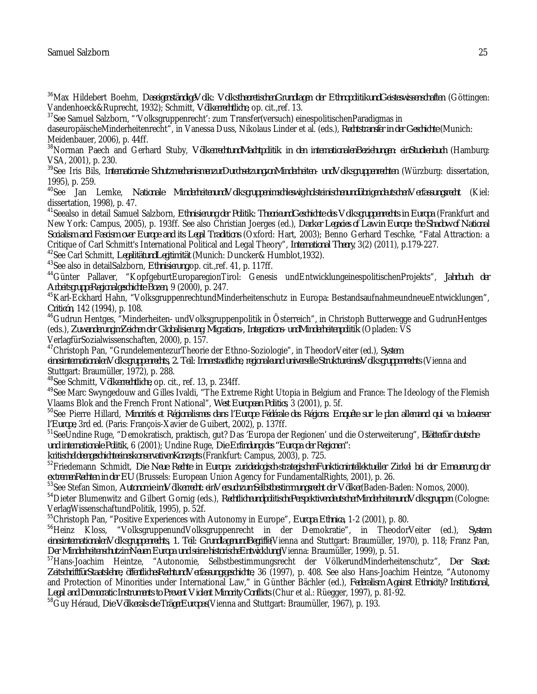<sup>36</sup>Max Hildebert Boehm, *DaseigenständigeVolk: VolkstheoretischenGrundlagen der EthnopolitikundGeisteswissenschaften* (Göttingen: Vandenhoeck&Ruprecht, 1932); Schmitt, *Völkerrechtliche,* op. cit.,ref. 13.

<sup>37</sup>See Samuel Salzborn, "'Volksgruppenrecht': zum Transfer(versuch) einespolitischenParadigmas in

daseuropäischeMinderheitenrecht", in Vanessa Duss, Nikolaus Linder et al. (eds.), *Rechtstransfer in der Geschichte* (Munich: Meidenbauer, 2006), p. 44ff.

<sup>38</sup>Norman Paech and Gerhard Stuby, *VölkerrechtundMachtpolitik in den internationalenBeziehungen: einStudienbuch* (Hamburg: VSA, 2001), p. 230.

<sup>39</sup>See Iris Bils, *Internationale SchutzmechanismenzurDurchsetzungvonMinderheiten- undVolksgruppenrechten* (Würzburg: dissertation, 1995), p. 259.

<sup>40</sup>See Jan Lemke, *Nationale MinderheitenundVolksgruppenimschleswig-holsteinischenundübrigendeutschenVerfassungsrecht* (Kiel: dissertation, 1998), p. 47.

<sup>41</sup> Seealso in detail Samuel Salzborn, Ethnisierung der Politik: TheorieundGeschichte des Volksgruppenrechts in Europa (Frankfurt and New York: Campus, 2005), p. 193ff. See also Christian Joerges (ed.), *Darker Legacies of Law in Europe: the Shadow of National Socialism and Fascism over Europe and its Legal Traditions* (Oxford: Hart, 2003); Benno Gerhard Teschke, "Fatal Attraction: a Critique of Carl Schmitt's International Political and Legal Theory", *International Theory*, 3(2) (2011), p.179-227.

<sup>42</sup>See Carl Schmitt, *LegalitätundLegitimität* (Munich: Duncker& Humblot,1932).

<sup>43</sup>See also in detailSalzborn, *Ethnisierung*,op. cit.,ref. 41, p. 117ff.

<sup>44</sup>Günter Pallaver, "KopfgeburtEuroparegionTirol: Genesis undEntwicklungeinespolitischenProjekts", *Jahrbuch der ArbeitsgruppeRegionalgeschichte Bozen*, 9 (2000), p. 247.

<sup>45</sup>Karl-Eckhard Hahn, "VolksgruppenrechtundMinderheitenschutz in Europa: BestandsaufnahmeundneueEntwicklungen", *Criticón*, 142 (1994), p. 108.

<sup>46</sup>Gudrun Hentges, "Minderheiten- und Volksgruppenpolitik in Österreich", in Christoph Butterwegge and GudrunHentges (eds.), *ZuwanderungimZeichen der Globalisierung: Migrations-, Integrations- undMinderheitenpolitik* (Opladen: VS VerlagfürSozialwissenschaften, 2000), p. 157.

<sup>47</sup>Christoph Pan, "GrundelementezurTheorie der Ethno-Soziologie", in TheodorVeiter (ed.), *System einesinternationalenVolksgruppenrechts, 2. Teil: Innerstaatliche, regionaleund universelle StruktureinesVolksgruppenrechts* (Vienna and Stuttgart: Braumüller, 1972), p. 288.

<sup>48</sup>See Schmitt, *Völkerrechtliche,* op. cit., ref. 13, p. 234ff.

<sup>49</sup>See Marc Swyngedouw and Gilles Ivaldi, "The Extreme Right Utopia in Belgium and France: The Ideology of the Flemish Vlaams Blok and the French Front National", *West European Politics*, 3 (2001), p. 5f.

<sup>50</sup>See Pierre Hillard, *Minorités et Régionalismes dans l'Europe Fédérale des Régions: Enquête sur le plan allemand qui va bouleverser l'Europe*, 3rd ed. (Paris: François-Xavier de Guibert, 2002), p. 137ff.

<sup>51</sup>SeeUndine Ruge, "Demokratisch, praktisch, gut? Das 'Europa der Regionen' und die Osterweiterung", *Blätterfür deutsche und internationale Politik*, 6 (2001); Undine Ruge, *Die Erfindung des "Europa der Regionen":* 

*kritischeIdeengeschichteeineskonservativenKonzepts* (Frankfurt: Campus, 2003), p. 725.

<sup>52</sup>Friedemann Schmidt, *Die Neue Rechte in Europa: zurideologisch-strategischenFunktionintellektueller Zirkel bei der Erneuerung der extremenRechten in der EU* (Brussels: European Union Agency for FundamentalRights, 2001), p. 26.

<sup>53</sup>See Stefan Simon, *Autonomie imVölkerrecht: einVersuchzumSelbstbestimmungsrecht der Völker*(Baden-Baden: Nomos, 2000).

<sup>54</sup>Dieter Blumenwitz and Gilbert Gornig (eds.), *RechtlicheundpolitischePerspektivendeutscherMinderheitenundVolksgruppen* (Cologne: VerlagWissenschaftundPolitik, 1995), p. 52f.

<sup>55</sup>Christoph Pan, "Positive Experiences with Autonomy in Europe", *Europa Ethnica*, 1-2 (2001), p. 80.<br><sup>56</sup>Heinz Kloss. "VolksgruppenundVolksgruppenrecht in der Demokratie", in Theodor<sup>y</sup>

<sup>56</sup>Heinz Kloss, "VolksgruppenundVolksgruppenrecht in der Demokratie", in TheodorVeiter (ed.), *System einesinternationalenVolksgruppenrechts, 1. Teil: GrundlagenundBegriffe*(Vienna and Stuttgart: Braumüller, 1970), p. 118; Franz Pan, *Der MinderheitenschutzimNeuen Europa und seine historischeEntwicklung*(Vienna: Braumüller, 1999), p. 51.

<sup>57</sup>Hans-Joachim Heintze, "Autonomie, Selbstbestimmungsrecht der VölkerundMinderheitenschutz", *Der Staat: ZeitschriftfürStaatslehre, öffentlichesRechtundVerfassungsgeschichte*, 36 (1997), p. 408. See also Hans-Joachim Heintze, "Autonomy and Protection of Minorities under International Law," in Günther Bächler (ed.), *Federalism Against Ethnicity? Institutional, Legal and Democratic Instruments to Prevent Violent Minority Conflicts* (Chur et al.: Rüegger, 1997), p. 81-92.

<sup>58</sup>Guy Héraud, *Die Völkerals die TrägerEuropas*(Vienna and Stuttgart: Braumüller, 1967), p. 193.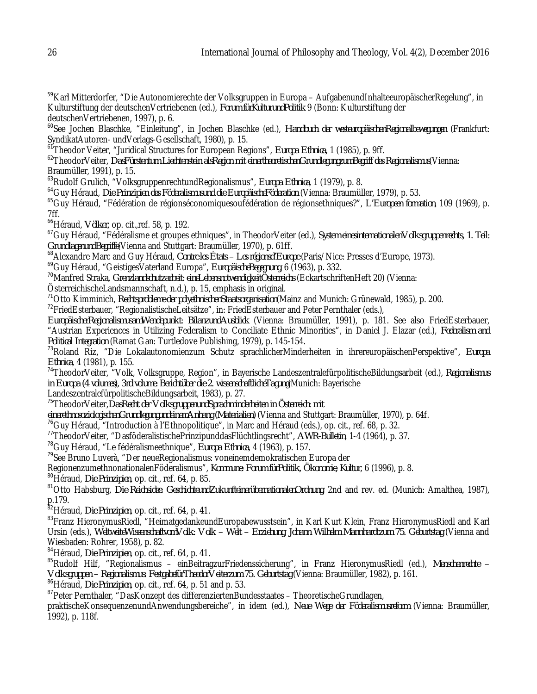<sup>59</sup>Karl Mitterdorfer, "Die Autonomierechte der Volksgruppen in Europa – AufgabenundInhalteeuropäischerRegelung", in Kulturstiftung der deutschenVertriebenen (ed.), *Forum fürKulturundPolitik* 9 (Bonn: Kulturstiftung der deutschenVertriebenen, 1997), p. 6.

<sup>60</sup>See Jochen Blaschke, "Einleitung", in Jochen Blaschke (ed.), *Handbuch der westeuropäischenRegionalbewegungen* (Frankfurt: SyndikatAutoren- undVerlags-Gesellschaft, 1980), p. 15.

<sup>61</sup>Theodor Veiter, "Juridical Structures for European Regions", *Europa Ethnica,* 1 (1985), p. 9ff.

<sup>62</sup>TheodorVeiter, *DasFürstentum Liechtenstein alsRegion mit einertheoretischenGrundlegungzumBegriff des Regionalismus*(Vienna: Braumüller, 1991), p. 15.

<sup>63</sup>Rudolf Grulich, "VolksgruppenrechtundRegionalismus", *Europa Ethnica*, 1 (1979), p. 8.

<sup>64</sup>Guy Héraud, *Die Prinzipien des Föderalismusund die EuropäischeFöderation* (Vienna: Braumüller, 1979), p. 53.

<sup>65</sup>Guy Héraud, "Fédération de régionséconomiquesoufédération de régionsethniques?", *L'Europeen formation*, 109 (1969), p. 7ff.

<sup>66</sup>Héraud, *Völker*, op. cit.,ref. 58, p. 192.

<sup>67</sup>Guy Héraud, "Fédéralisme et groupes ethniques", in TheodorVeiter (ed.), *System einesinternationalenVolksgruppenrechts, 1. Teil: GrundlagenundBegriffe*(Vienna and Stuttgart: Braumüller, 1970), p. 61ff.

<sup>68</sup>Alexandre Marc and Guy Héraud, *Contre les États – Les régionsd'Europe* (Paris/Nice: Presses d'Europe, 1973).

<sup>69</sup>Guy Héraud, "GeistigesVaterland Europa", *EuropäischeBegegnung*, 6 (1963), p. 332.

<sup>70</sup>Manfred Straka, *Grenzlandschutzarbeit: eineLebensnotwendigkeitÖsterreichs* (EckartschriftenHeft 20) (Vienna:

ÖsterreichischeLandsmannschaft, n.d.), p. 15, emphasis in original.

<sup>71</sup>Otto Kimminich, *Rechtsprobleme der polyethnischenStaatsorganisation*(Mainz and Munich: Grünewald, 1985), p. 200.

 $72$ FriedEsterbauer, "RegionalistischeLeitsätze", in: FriedEsterbauer and Peter Pernthaler (eds.),

*EuropäischerRegionalismusamWendepunkt: BilanzundAusblick* (Vienna: Braumüller, 1991), p. 181. See also FriedEsterbauer, "Austrian Experiences in Utilizing Federalism to Conciliate Ethnic Minorities", in Daniel J. Elazar (ed.), *Federalism and Political Integration* (Ramat Gan: Turtledove Publishing, 1979), p. 145-154.

<sup>73</sup>Roland Riz, "Die Lokalautonomienzum Schutz sprachlicherMinderheiten in ihrereuropäischenPerspektive", *Europa Ethnica*, 4 (1981), p. 155.

<sup>74</sup>TheodorVeiter, "Volk, Volksgruppe, Region", in Bayerische LandeszentralefürpolitischeBildungsarbeit (ed.), *Regionalismus in Europa (4 volumes), 3rd volume: Berichtüber die 2. wissenschaftlicheTagung*(Munich: Bayerische

LandeszentralefürpolitischeBildungsarbeit, 1983), p. 27.

<sup>75</sup>TheodorVeiter,*DasRecht der VolksgruppenundSprachminderheiten in Österreich: mit* 

*einerethnosoziologischenGrundlegungundeinemAnhang (Materialien)* (Vienna and Stuttgart: Braumüller, 1970), p. 64f.

 $^{76}$ Guy Héraud, "Introduction à l'Ethnopolitique", in Marc and Héraud (eds.), op. cit., ref. 68, p. 32.

<sup>77</sup>TheodorVeiter, "DasföderalistischePrinzipunddasFlüchtlingsrecht", *AWR-Bulletin*, 1-4 (1964), p. 37.

<sup>78</sup>Guy Héraud, "Le fédéralismeethnique", *Europa Ethnica*, 4 (1963), p. 157.

<sup>79</sup>See Bruno Luverà, "Der neueRegionalismus: voneinemdemokratischen Europa der

RegionenzumethnonationalenFöderalismus", *Kommune: Forum fürPolitik, Ökonomie, Kultur*, 6 (1996), p. 8.

<sup>80</sup>Héraud, *Die Prinzipien*, op. cit., ref. 64, p. 85.

<sup>81</sup>Otto Habsburg, *Die Reichsidee: GeschichteundZukunfteinerübernationalenOrdnung*, 2nd and rev. ed. (Munich: Amalthea, 1987), p.179.

<sup>82</sup>Héraud, *Die Prinzipien*, op. cit., ref. 64, p. 41.

<sup>83</sup>Franz HieronymusRiedl, "HeimatgedankeundEuropabewusstsein", in Karl Kurt Klein, Franz HieronymusRiedl and Karl Ursin (eds.), *WeltweiteWissenschaftvomVolk: Volk – Welt – Erziehung, Johann Wilhelm Mannhardtzum 75. Geburtstag* (Vienna and Wiesbaden: Rohrer, 1958), p. 82.

<sup>84</sup>Héraud, *Die Prinzipien*, op. cit., ref. 64, p. 41.

<sup>85</sup>Rudolf Hilf, "Regionalismus – einBeitragzurFriedenssicherung", in Franz HieronymusRiedl (ed.), *Menschenrechte – Volksgruppen – Regionalismus: FestgabefürTheodorVeiterzum 75. Geburtstag* (Vienna: Braumüller, 1982), p. 161.

<sup>86</sup>Héraud, *Die Prinzipien*, op. cit., ref. 64, p. 51 and p. 53.

<sup>87</sup>Peter Pernthaler, "DasKonzept des differenziertenBundesstaates – TheoretischeGrundlagen,

praktischeKonsequenzenundAnwendungsbereiche", in idem (ed.), *Neue Wege der Föderalismusreform* (Vienna: Braumüller, 1992), p. 118f.